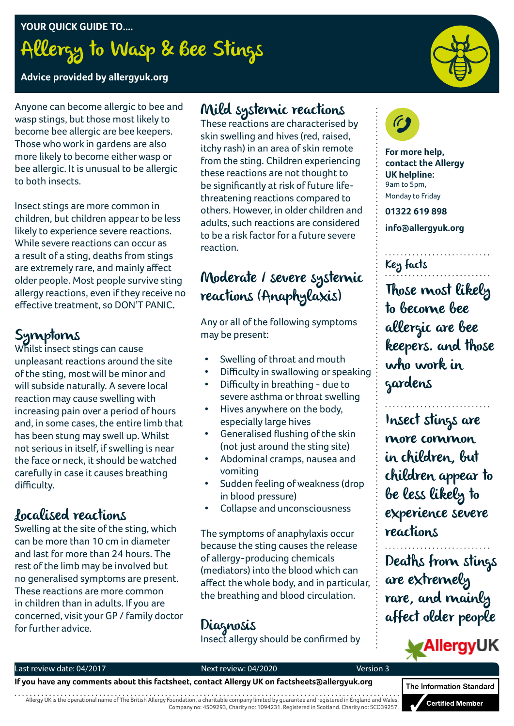**YOUR QUICK GUIDE TO....** Allergy to Wasp & Bee Stings

**Advice provided by allergyuk.org**

Anyone can become allergic to bee and wasp stings, but those most likely to become bee allergic are bee keepers. Those who work in gardens are also more likely to become either wasp or bee allergic. It is unusual to be allergic to both insects.

Insect stings are more common in children, but children appear to be less likely to experience severe reactions. While severe reactions can occur as a result of a sting, deaths from stings are extremely rare, and mainly affect older people. Most people survive sting allergy reactions, even if they receive no effective treatment, so DON'T PANIC**.**

# Symptoms

Whilst insect stings can cause unpleasant reactions around the site of the sting, most will be minor and will subside naturally. A severe local reaction may cause swelling with increasing pain over a period of hours and, in some cases, the entire limb that has been stung may swell up. Whilst not serious in itself, if swelling is near the face or neck, it should be watched carefully in case it causes breathing difficulty.

## Localised reactions

Swelling at the site of the sting, which can be more than 10 cm in diameter and last for more than 24 hours. The rest of the limb may be involved but no generalised symptoms are present. These reactions are more common in children than in adults. If you are concerned, visit your GP / family doctor for further advice.

## Mild systemic reactions

These reactions are characterised by skin swelling and hives (red, raised, itchy rash) in an area of skin remote from the sting. Children experiencing these reactions are not thought to be significantly at risk of future lifethreatening reactions compared to others. However, in older children and adults, such reactions are considered to be a risk factor for a future severe reaction.

# Moderate / severe systemic reactions (Anaphylaxis)

Any or all of the following symptoms may be present:

- Swelling of throat and mouth
- Difficulty in swallowing or speaking
- Difficulty in breathing due to severe asthma or throat swelling
- Hives anywhere on the body, especially large hives
- Generalised flushing of the skin (not just around the sting site)
- Abdominal cramps, nausea and vomiting
- Sudden feeling of weakness (drop in blood pressure)
- Collapse and unconsciousness

The symptoms of anaphylaxis occur because the sting causes the release of allergy-producing chemicals (mediators) into the blood which can affect the whole body, and in particular, the breathing and blood circulation.

Diagnosis Insect allergy should be confirmed by



**For more help, contact the Allergy UK helpline:** 9am to 5pm, Monday to Friday

**01322 619 898**

**info@allergyuk.org**

### Key facts

Those most likely to become bee allergic are bee keepers. and those who work in gardens

Insect stings are more common in children, but children appear to be less likely to experience severe reactions

Deaths from stings are extremely rare, and mainly affect older people

# **AllergyUK**

#### Last review date: 04/2017 and the state of the Next review: 04/2020 **Version 3**

#### **If you have any comments about this factsheet, contact Allergy UK on factsheets@allergyuk.org**

Allergy UK is the operational name of The British Allergy Foundation, a charitable company limited by guarantee and registered in England and Wales, Company no: 4509293, Charity no: 1094231. Registered in Scotland. Charity no: SCO39257.

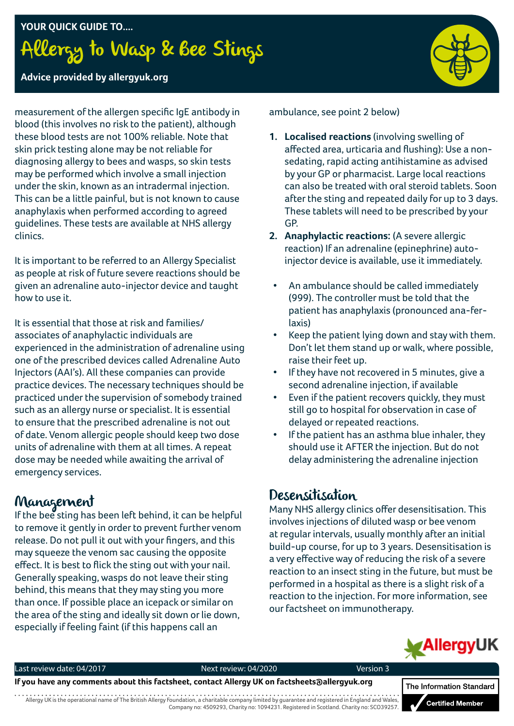# **YOUR QUICK GUIDE TO....** Allergy to Wasp & Bee Stings



#### **Advice provided by allergyuk.org**

measurement of the allergen specific IgE antibody in blood (this involves no risk to the patient), although these blood tests are not 100% reliable. Note that skin prick testing alone may be not reliable for diagnosing allergy to bees and wasps, so skin tests may be performed which involve a small injection under the skin, known as an intradermal injection. This can be a little painful, but is not known to cause anaphylaxis when performed according to agreed guidelines. These tests are available at NHS allergy clinics.

It is important to be referred to an Allergy Specialist as people at risk of future severe reactions should be given an adrenaline auto-injector device and taught how to use it.

It is essential that those at risk and families/ associates of anaphylactic individuals are experienced in the administration of adrenaline using one of the prescribed devices called Adrenaline Auto Injectors (AAI's). All these companies can provide practice devices. The necessary techniques should be practiced under the supervision of somebody trained such as an allergy nurse or specialist. It is essential to ensure that the prescribed adrenaline is not out of date. Venom allergic people should keep two dose units of adrenaline with them at all times. A repeat dose may be needed while awaiting the arrival of emergency services.

### Management

If the bee sting has been left behind, it can be helpful to remove it gently in order to prevent further venom release. Do not pull it out with your fingers, and this may squeeze the venom sac causing the opposite effect. It is best to flick the sting out with your nail. Generally speaking, wasps do not leave their sting behind, this means that they may sting you more than once. If possible place an icepack or similar on the area of the sting and ideally sit down or lie down, especially if feeling faint (if this happens call an

ambulance, see point 2 below)

- **1. Localised reactions** (involving swelling of affected area, urticaria and flushing): Use a nonsedating, rapid acting antihistamine as advised by your GP or pharmacist. Large local reactions can also be treated with oral steroid tablets. Soon after the sting and repeated daily for up to 3 days. These tablets will need to be prescribed by your GP.
- **2. Anaphylactic reactions:** (A severe allergic reaction) If an adrenaline (epinephrine) autoinjector device is available, use it immediately.
	- An ambulance should be called immediately (999). The controller must be told that the patient has anaphylaxis (pronounced ana-ferlaxis)
- Keep the patient lying down and stay with them. Don't let them stand up or walk, where possible, raise their feet up.
- If they have not recovered in 5 minutes, give a second adrenaline injection, if available
- Even if the patient recovers quickly, they must still go to hospital for observation in case of delayed or repeated reactions.
- If the patient has an asthma blue inhaler, they should use it AFTER the injection. But do not delay administering the adrenaline injection

### Desensitisation

Many NHS allergy clinics offer desensitisation. This involves injections of diluted wasp or bee venom at regular intervals, usually monthly after an initial build-up course, for up to 3 years. Desensitisation is a very effective way of reducing the risk of a severe reaction to an insect sting in the future, but must be performed in a hospital as there is a slight risk of a reaction to the injection. For more information, see our factsheet on immunotherapy.



Last review date: 04/2017 Next review: 04/2020 Version 3

**If you have any comments about this factsheet, contact Allergy UK on factsheets@allergyuk.org**

Allergy UK is the operational name of The British Allergy Foundation, a charitable company limited by guarantee and registered in England and Wales, Company no: 4509293, Charity no: 1094231. Registered in Scotland. Charity no: SCO39257.